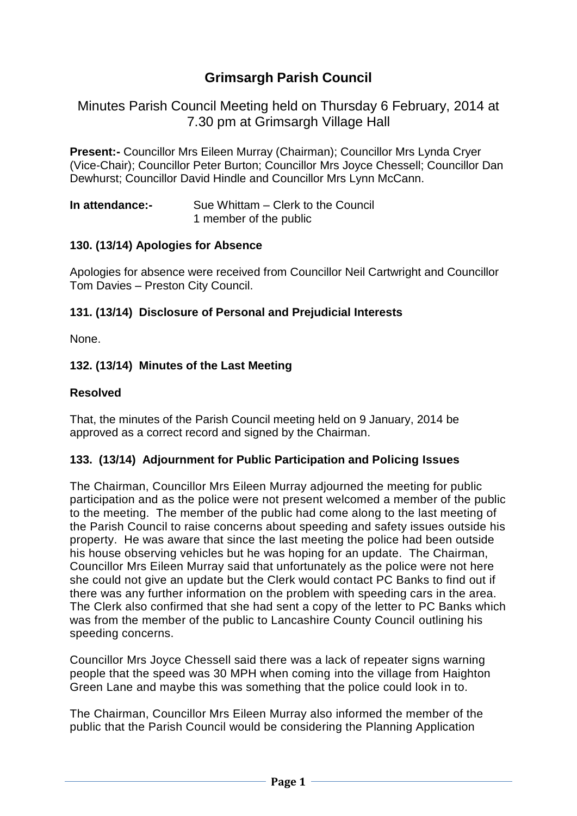# **Grimsargh Parish Council**

Minutes Parish Council Meeting held on Thursday 6 February, 2014 at 7.30 pm at Grimsargh Village Hall

**Present:-** Councillor Mrs Eileen Murray (Chairman); Councillor Mrs Lynda Cryer (Vice-Chair); Councillor Peter Burton; Councillor Mrs Joyce Chessell; Councillor Dan Dewhurst; Councillor David Hindle and Councillor Mrs Lynn McCann.

| In attendance:- | Sue Whittam – Clerk to the Council |
|-----------------|------------------------------------|
|                 | 1 member of the public             |

#### **130. (13/14) Apologies for Absence**

Apologies for absence were received from Councillor Neil Cartwright and Councillor Tom Davies – Preston City Council.

## **131. (13/14) Disclosure of Personal and Prejudicial Interests**

None.

#### **132. (13/14) Minutes of the Last Meeting**

#### **Resolved**

That, the minutes of the Parish Council meeting held on 9 January, 2014 be approved as a correct record and signed by the Chairman.

#### **133. (13/14) Adjournment for Public Participation and Policing Issues**

The Chairman, Councillor Mrs Eileen Murray adjourned the meeting for public participation and as the police were not present welcomed a member of the public to the meeting. The member of the public had come along to the last meeting of the Parish Council to raise concerns about speeding and safety issues outside his property. He was aware that since the last meeting the police had been outside his house observing vehicles but he was hoping for an update. The Chairman, Councillor Mrs Eileen Murray said that unfortunately as the police were not here she could not give an update but the Clerk would contact PC Banks to find out if there was any further information on the problem with speeding cars in the area. The Clerk also confirmed that she had sent a copy of the letter to PC Banks which was from the member of the public to Lancashire County Council outlining his speeding concerns.

Councillor Mrs Joyce Chessell said there was a lack of repeater signs warning people that the speed was 30 MPH when coming into the village from Haighton Green Lane and maybe this was something that the police could look in to.

The Chairman, Councillor Mrs Eileen Murray also informed the member of the public that the Parish Council would be considering the Planning Application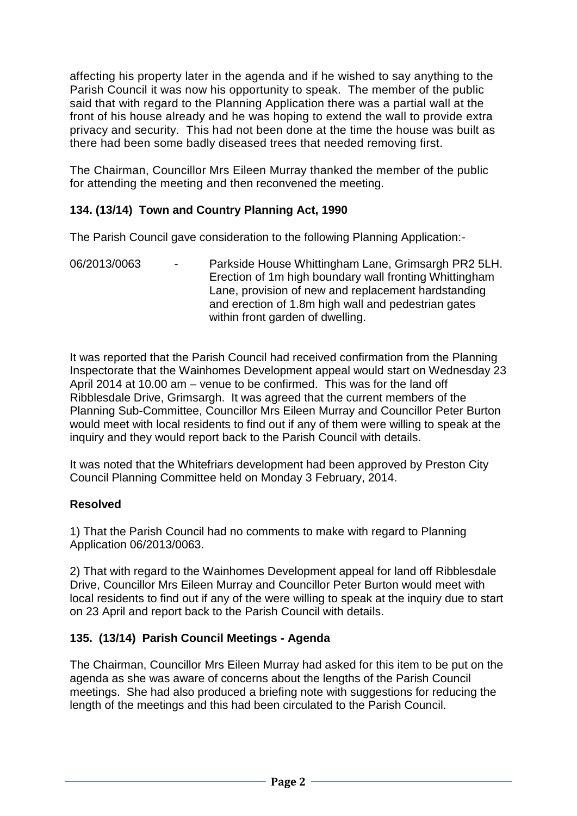affecting his property later in the agenda and if he wished to say anything to the Parish Council it was now his opportunity to speak. The member of the public said that with regard to the Planning Application there was a partial wall at the front of his house already and he was hoping to extend the wall to provide extra privacy and security. This had not been done at the time the house was built as there had been some badly diseased trees that needed removing first.

The Chairman, Councillor Mrs Eileen Murray thanked the member of the public for attending the meeting and then reconvened the meeting.

# **134. (13/14) Town and Country Planning Act, 1990**

The Parish Council gave consideration to the following Planning Application:-

06/2013/0063 - Parkside House Whittingham Lane, Grimsargh PR2 5LH. Erection of 1m high boundary wall fronting Whittingham Lane, provision of new and replacement hardstanding and erection of 1.8m high wall and pedestrian gates within front garden of dwelling.

It was reported that the Parish Council had received confirmation from the Planning Inspectorate that the Wainhomes Development appeal would start on Wednesday 23 April 2014 at 10.00 am – venue to be confirmed. This was for the land off Ribblesdale Drive, Grimsargh. It was agreed that the current members of the Planning Sub-Committee, Councillor Mrs Eileen Murray and Councillor Peter Burton would meet with local residents to find out if any of them were willing to speak at the inquiry and they would report back to the Parish Council with details.

It was noted that the Whitefriars development had been approved by Preston City Council Planning Committee held on Monday 3 February, 2014.

## **Resolved**

1) That the Parish Council had no comments to make with regard to Planning Application 06/2013/0063.

2) That with regard to the Wainhomes Development appeal for land off Ribblesdale Drive, Councillor Mrs Eileen Murray and Councillor Peter Burton would meet with local residents to find out if any of the were willing to speak at the inquiry due to start on 23 April and report back to the Parish Council with details.

## **135. (13/14) Parish Council Meetings - Agenda**

The Chairman, Councillor Mrs Eileen Murray had asked for this item to be put on the agenda as she was aware of concerns about the lengths of the Parish Council meetings. She had also produced a briefing note with suggestions for reducing the length of the meetings and this had been circulated to the Parish Council.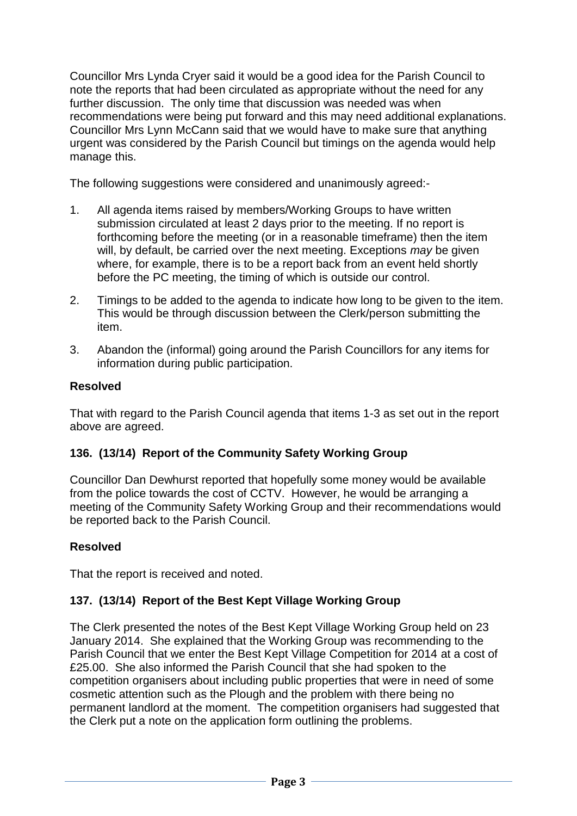Councillor Mrs Lynda Cryer said it would be a good idea for the Parish Council to note the reports that had been circulated as appropriate without the need for any further discussion. The only time that discussion was needed was when recommendations were being put forward and this may need additional explanations. Councillor Mrs Lynn McCann said that we would have to make sure that anything urgent was considered by the Parish Council but timings on the agenda would help manage this.

The following suggestions were considered and unanimously agreed:-

- 1. All agenda items raised by members/Working Groups to have written submission circulated at least 2 days prior to the meeting. If no report is forthcoming before the meeting (or in a reasonable timeframe) then the item will, by default, be carried over the next meeting. Exceptions *may* be given where, for example, there is to be a report back from an event held shortly before the PC meeting, the timing of which is outside our control.
- 2. Timings to be added to the agenda to indicate how long to be given to the item. This would be through discussion between the Clerk/person submitting the item.
- 3. Abandon the (informal) going around the Parish Councillors for any items for information during public participation.

# **Resolved**

That with regard to the Parish Council agenda that items 1-3 as set out in the report above are agreed.

# **136. (13/14) Report of the Community Safety Working Group**

Councillor Dan Dewhurst reported that hopefully some money would be available from the police towards the cost of CCTV. However, he would be arranging a meeting of the Community Safety Working Group and their recommendations would be reported back to the Parish Council.

## **Resolved**

That the report is received and noted.

# **137. (13/14) Report of the Best Kept Village Working Group**

The Clerk presented the notes of the Best Kept Village Working Group held on 23 January 2014. She explained that the Working Group was recommending to the Parish Council that we enter the Best Kept Village Competition for 2014 at a cost of £25.00. She also informed the Parish Council that she had spoken to the competition organisers about including public properties that were in need of some cosmetic attention such as the Plough and the problem with there being no permanent landlord at the moment. The competition organisers had suggested that the Clerk put a note on the application form outlining the problems.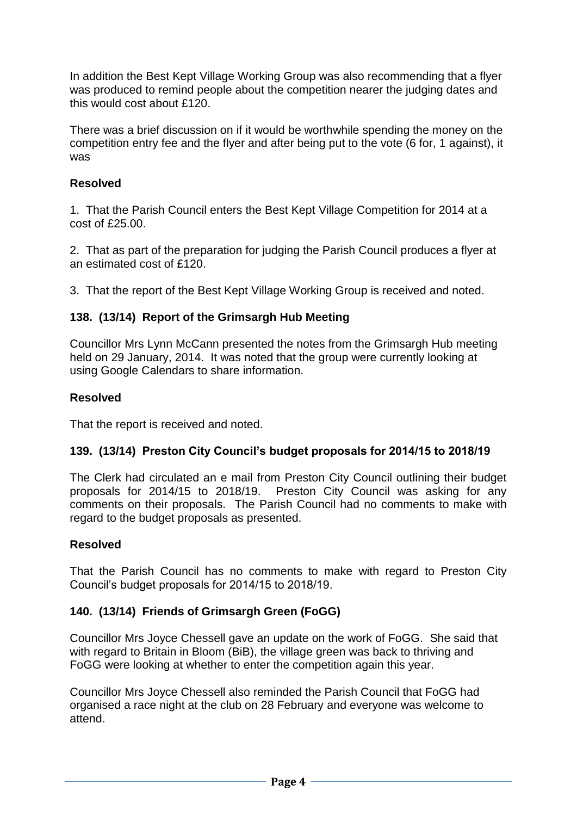In addition the Best Kept Village Working Group was also recommending that a flyer was produced to remind people about the competition nearer the judging dates and this would cost about £120.

There was a brief discussion on if it would be worthwhile spending the money on the competition entry fee and the flyer and after being put to the vote (6 for, 1 against), it was

#### **Resolved**

1. That the Parish Council enters the Best Kept Village Competition for 2014 at a cost of £25.00.

2. That as part of the preparation for judging the Parish Council produces a flyer at an estimated cost of £120.

3. That the report of the Best Kept Village Working Group is received and noted.

## **138. (13/14) Report of the Grimsargh Hub Meeting**

Councillor Mrs Lynn McCann presented the notes from the Grimsargh Hub meeting held on 29 January, 2014. It was noted that the group were currently looking at using Google Calendars to share information.

#### **Resolved**

That the report is received and noted.

#### **139. (13/14) Preston City Council's budget proposals for 2014/15 to 2018/19**

The Clerk had circulated an e mail from Preston City Council outlining their budget proposals for 2014/15 to 2018/19. Preston City Council was asking for any comments on their proposals. The Parish Council had no comments to make with regard to the budget proposals as presented.

#### **Resolved**

That the Parish Council has no comments to make with regard to Preston City Council's budget proposals for 2014/15 to 2018/19.

#### **140. (13/14) Friends of Grimsargh Green (FoGG)**

Councillor Mrs Joyce Chessell gave an update on the work of FoGG. She said that with regard to Britain in Bloom (BiB), the village green was back to thriving and FoGG were looking at whether to enter the competition again this year.

Councillor Mrs Joyce Chessell also reminded the Parish Council that FoGG had organised a race night at the club on 28 February and everyone was welcome to attend.